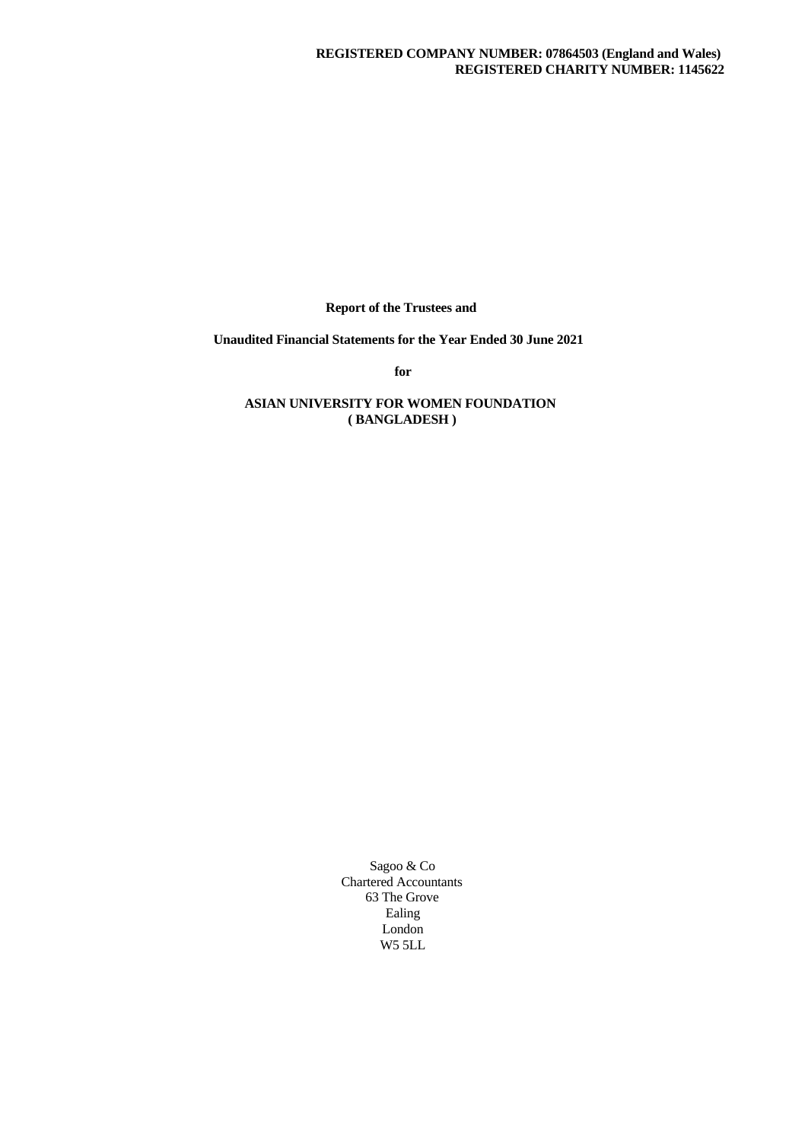**Report of the Trustees and**

**Unaudited Financial Statements for the Year Ended 30 June 2021**

**for**

# **ASIAN UNIVERSITY FOR WOMEN FOUNDATION ( BANGLADESH )**

Sagoo & Co Chartered Accountants 63 The Grove Ealing London W5 5LL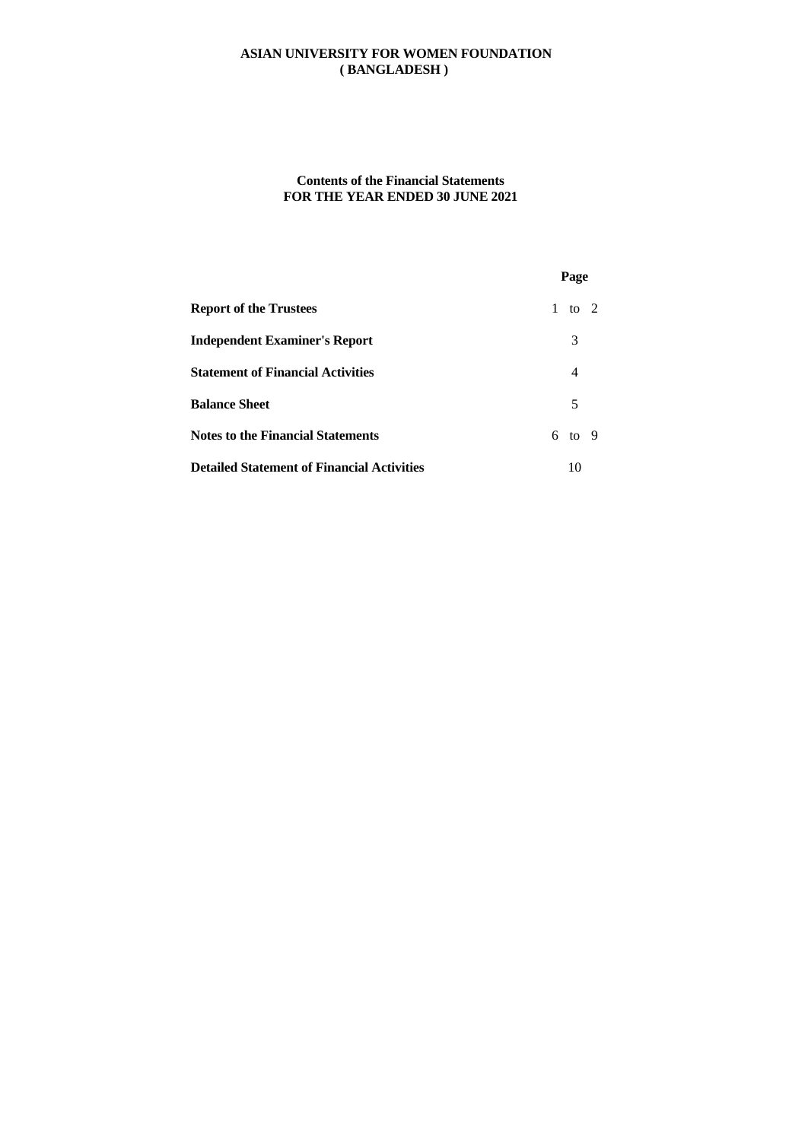## **Contents of the Financial Statements FOR THE YEAR ENDED 30 JUNE 2021**

|                                                   | Page           |  |
|---------------------------------------------------|----------------|--|
| <b>Report of the Trustees</b>                     | 1 to 2         |  |
| <b>Independent Examiner's Report</b>              | 3              |  |
| <b>Statement of Financial Activities</b>          | $\overline{4}$ |  |
| <b>Balance Sheet</b>                              | 5              |  |
| <b>Notes to the Financial Statements</b>          | $6$ to 9       |  |
| <b>Detailed Statement of Financial Activities</b> | 10             |  |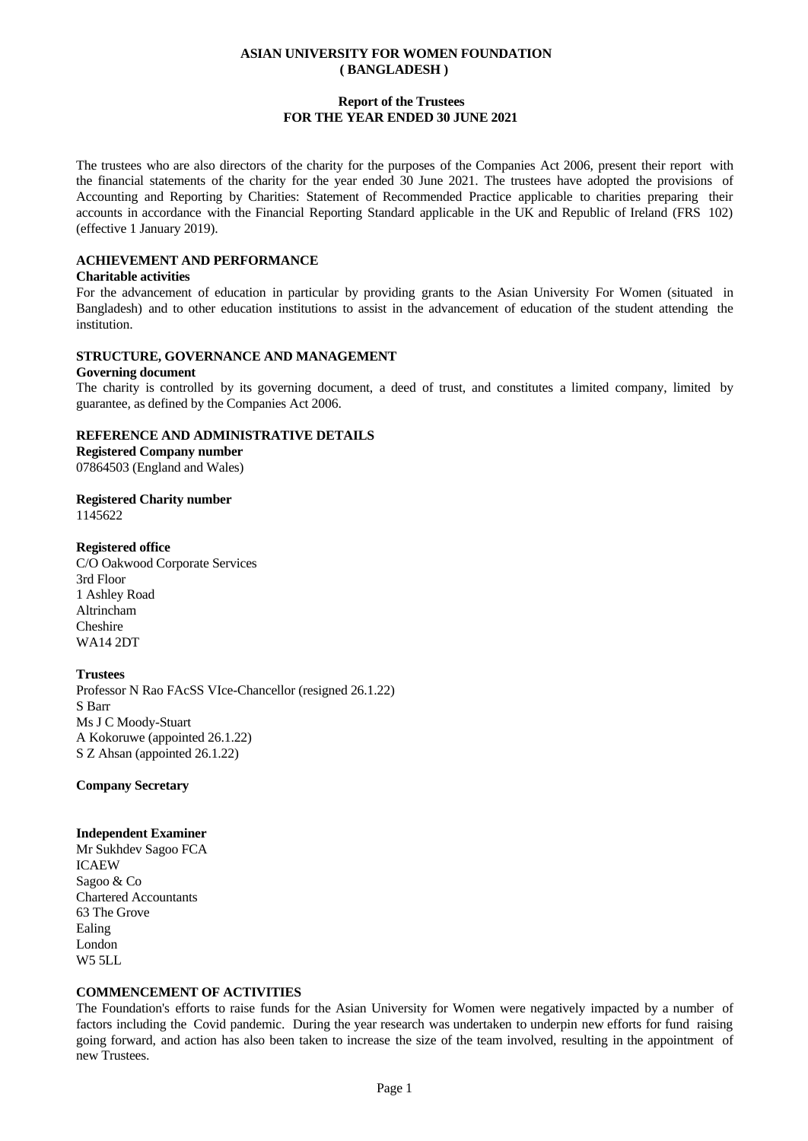## **Report of the Trustees FOR THE YEAR ENDED 30 JUNE 2021**

The trustees who are also directors of the charity for the purposes of the Companies Act 2006, present their report with the financial statements of the charity for the year ended 30 June 2021. The trustees have adopted the provisions of Accounting and Reporting by Charities: Statement of Recommended Practice applicable to charities preparing their accounts in accordance with the Financial Reporting Standard applicable in the UK and Republic of Ireland (FRS 102) (effective 1 January 2019).

# **ACHIEVEMENT AND PERFORMANCE**

#### **Charitable activities**

For the advancement of education in particular by providing grants to the Asian University For Women (situated in Bangladesh) and to other education institutions to assist in the advancement of education of the student attending the institution.

### **STRUCTURE, GOVERNANCE AND MANAGEMENT**

#### **Governing document**

The charity is controlled by its governing document, a deed of trust, and constitutes a limited company, limited by guarantee, as defined by the Companies Act 2006.

### **REFERENCE AND ADMINISTRATIVE DETAILS**

**Registered Company number** 07864503 (England and Wales)

**Registered Charity number** 1145622

### **Registered office**

C/O Oakwood Corporate Services 3rd Floor 1 Ashley Road Altrincham Cheshire WA14 2DT

### **Trustees**

Professor N Rao FAcSS VIce-Chancellor (resigned 26.1.22) S Barr Ms J C Moody-Stuart A Kokoruwe (appointed 26.1.22) S Z Ahsan (appointed 26.1.22)

**Company Secretary**

## **Independent Examiner**

Mr Sukhdev Sagoo FCA ICAEW Sagoo & Co Chartered Accountants 63 The Grove Ealing London W5 5LL

# **COMMENCEMENT OF ACTIVITIES**

The Foundation's efforts to raise funds for the Asian University for Women were negatively impacted by a number of factors including the Covid pandemic. During the year research was undertaken to underpin new efforts for fund raising going forward, and action has also been taken to increase the size of the team involved, resulting in the appointment of new Trustees.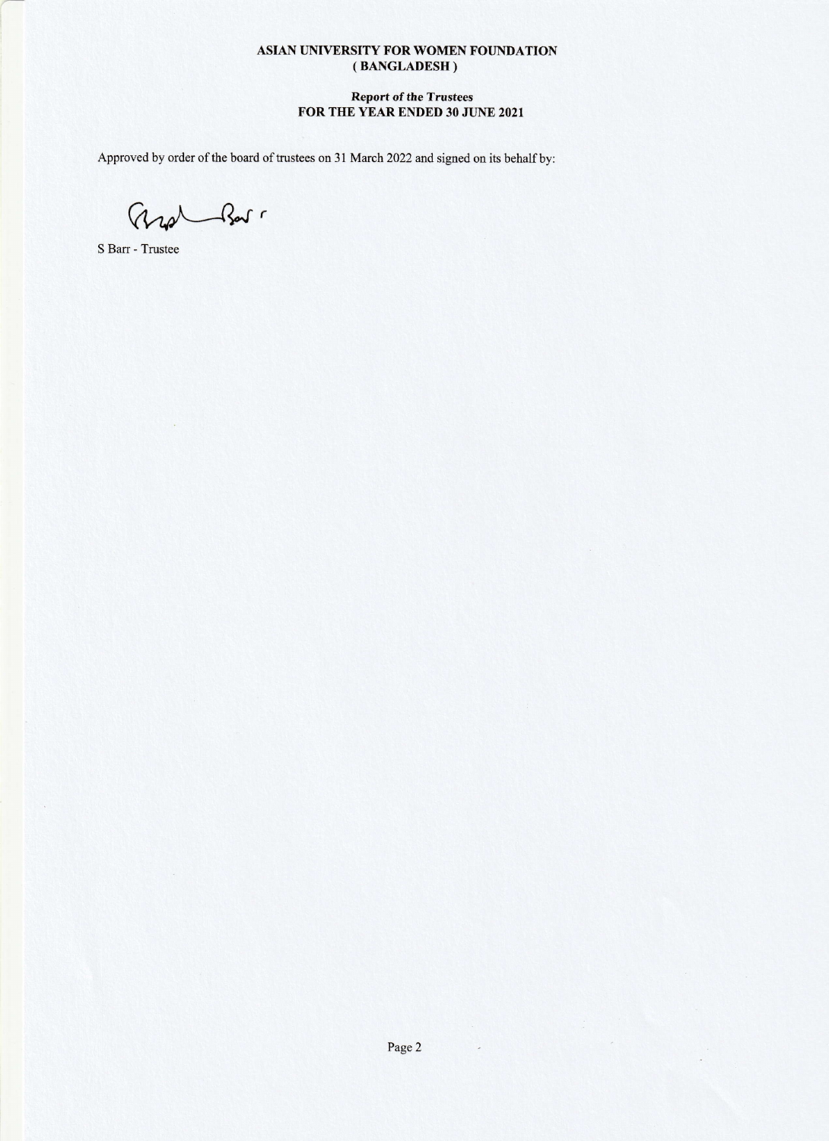### Report of the Trustees FOR THE YEAR ENDED 30 JUNE 2021

Approved by order of the board of trustees on 31 March 2022 and signed on its behalf by:

r Ad\--{k

S Barr - Trustee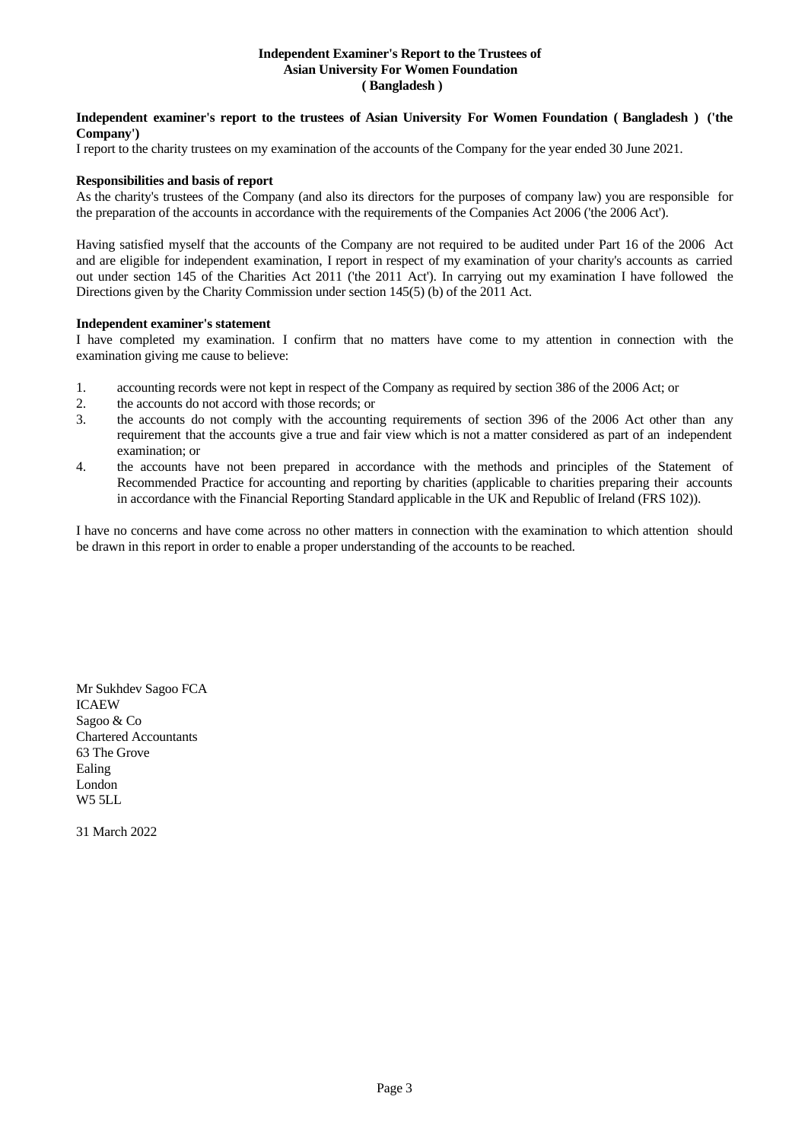#### **Independent Examiner's Report to the Trustees of Asian University For Women Foundation ( Bangladesh )**

#### **Independent examiner's report to the trustees of Asian University For Women Foundation ( Bangladesh ) ('the Company')**

I report to the charity trustees on my examination of the accounts of the Company for the year ended 30 June 2021.

## **Responsibilities and basis of report**

As the charity's trustees of the Company (and also its directors for the purposes of company law) you are responsible for the preparation of the accounts in accordance with the requirements of the Companies Act 2006 ('the 2006 Act').

Having satisfied myself that the accounts of the Company are not required to be audited under Part 16 of the 2006 Act and are eligible for independent examination, I report in respect of my examination of your charity's accounts as carried out under section 145 of the Charities Act 2011 ('the 2011 Act'). In carrying out my examination I have followed the Directions given by the Charity Commission under section 145(5) (b) of the 2011 Act.

### **Independent examiner's statement**

I have completed my examination. I confirm that no matters have come to my attention in connection with the examination giving me cause to believe:

- 1. accounting records were not kept in respect of the Company as required by section 386 of the 2006 Act; or
- 2. the accounts do not accord with those records; or
- 3. the accounts do not comply with the accounting requirements of section 396 ofthe 2006 Act other than any requirement that the accounts give a true and fair view which is not a matter considered as part of an independent examination; or
- 4. the accounts have not been prepared in accordance with the methods and principles of the Statement of Recommended Practice for accounting and reporting by charities (applicable to charities preparing their accounts in accordance with the Financial Reporting Standard applicable in the UK and Republic of Ireland (FRS 102)).

I have no concerns and have come across no other matters in connection with the examination to which attention should be drawn in this report in order to enable a proper understanding of the accounts to be reached.

Mr Sukhdev Sagoo FCA ICAEW Sagoo & Co Chartered Accountants 63 The Grove Ealing London W5 5LL

31 March 2022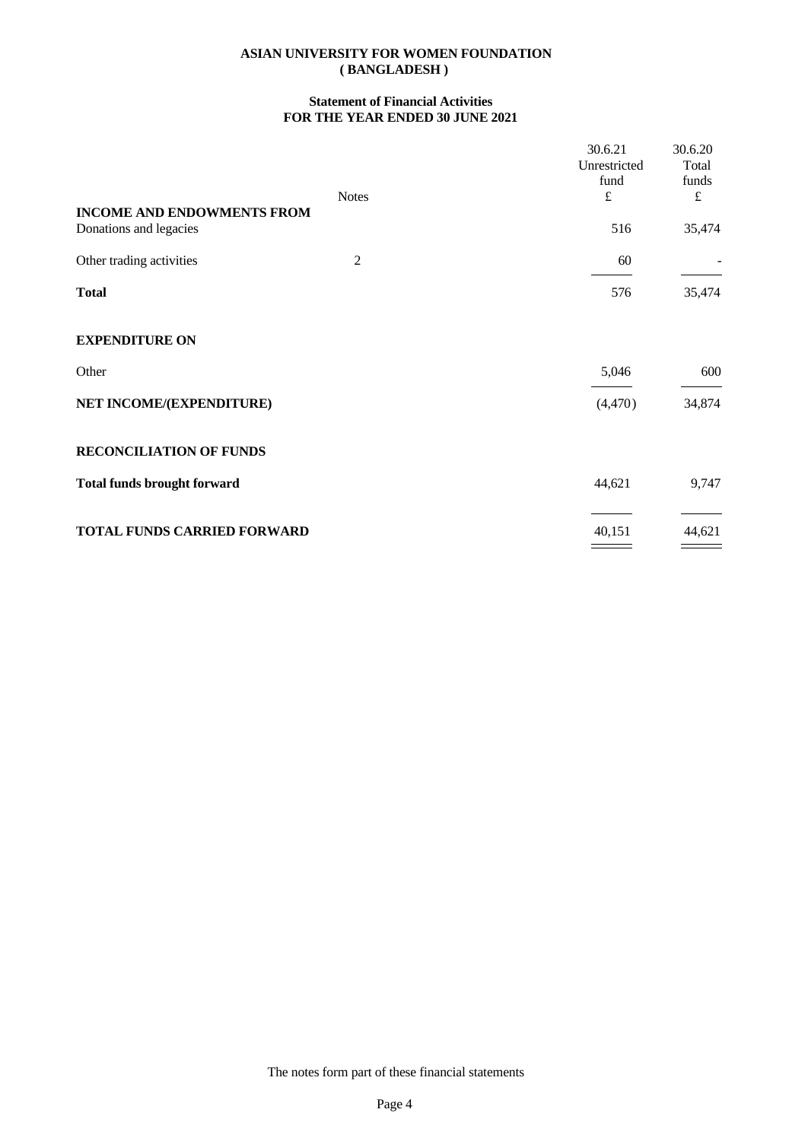## **Statement of Financial Activities FOR THE YEAR ENDED 30 JUNE 2021**

| 30.6.21<br>Unrestricted<br>fund | 30.6.20<br>Total<br>funds<br>$\pounds$ |
|---------------------------------|----------------------------------------|
| 516                             | 35,474                                 |
| 60                              |                                        |
| 576                             | 35,474                                 |
|                                 |                                        |
| 5,046                           | 600                                    |
| (4,470)                         | 34,874                                 |
|                                 |                                        |
| 44,621                          | 9,747                                  |
| 40,151                          | 44,621                                 |
|                                 | $\pounds$                              |

The notes form part of these financial statements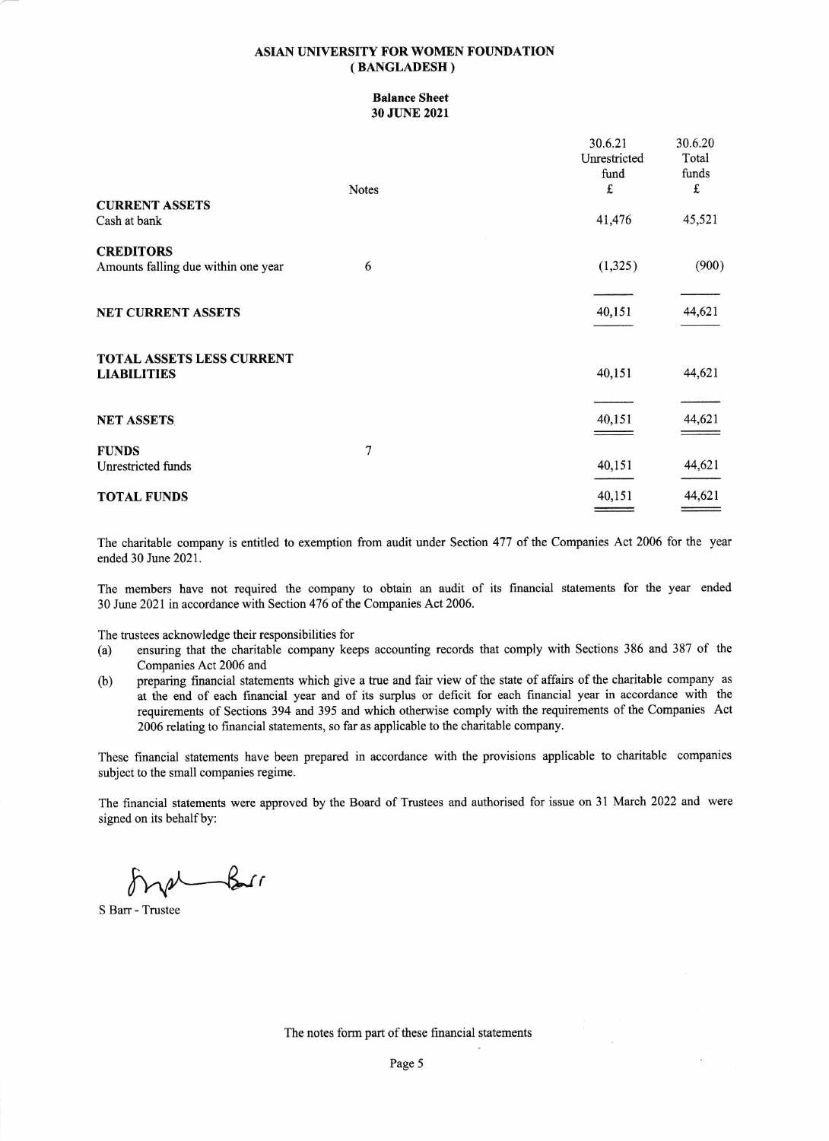#### Balance Sheet 30 JUNE 2021

|                                                              | 30.6.21<br>Unrestricted<br>fund | 30.6.20<br>Total<br>funds |
|--------------------------------------------------------------|---------------------------------|---------------------------|
| <b>Notes</b>                                                 | £                               | £                         |
| <b>CURRENT ASSETS</b><br>Cash at bank                        | 41,476                          | 45,521                    |
| <b>CREDITORS</b><br>Amounts falling due within one year<br>6 | (1,325)                         | (900)                     |
| <b>NET CURRENT ASSETS</b>                                    | 40,151                          | 44,621                    |
| TOTAL ASSETS LESS CURRENT<br><b>LIABILITIES</b>              | 40,151                          | 44,621                    |
| <b>NET ASSETS</b>                                            | 40,151                          | 44,621                    |
| 7<br><b>FUNDS</b><br>Unrestricted funds                      | 40,151                          | 44,621                    |
| <b>TOTAL FUNDS</b>                                           | 40,151                          | 44,621                    |

The charitable company is entitled to exemption from audit under Section 477 of the Companies Act 2006 for the year ended 30 June 2021.

The members have not required the company to obtain an audit of its financial statements for the year ended 30 June 2021 in accordance with Section 476 of the Companies Act 2006.

The trustees acknowledge their responsibilities for

- (a) ensuring that the charitable company keeps accounting records that comply with Sections 386 and 387 of the Companies Act 2006 and
- (b) preparing financial statements which give a true and fair view of the state of affairs of the charitabie company as at the end of each financial year and of its surplus or deficit for each financial year in accordance with the requirements of Sections 394 and 395 and which otherwise comply with the requirements of the Companies Act 2006 relating to financial statements, so far as applicable to the charitable company.

These financial statements have been prepared in accordance with the provisions applicable to charitable companies subject to the small companies regime.

The financial statements were approved by the Board of Trustees and authorised for issue on 31 March 2022 and wete signed on its behalf by:

 $\nu$  for

S Barr - Trustee

The notes form part of these financial statements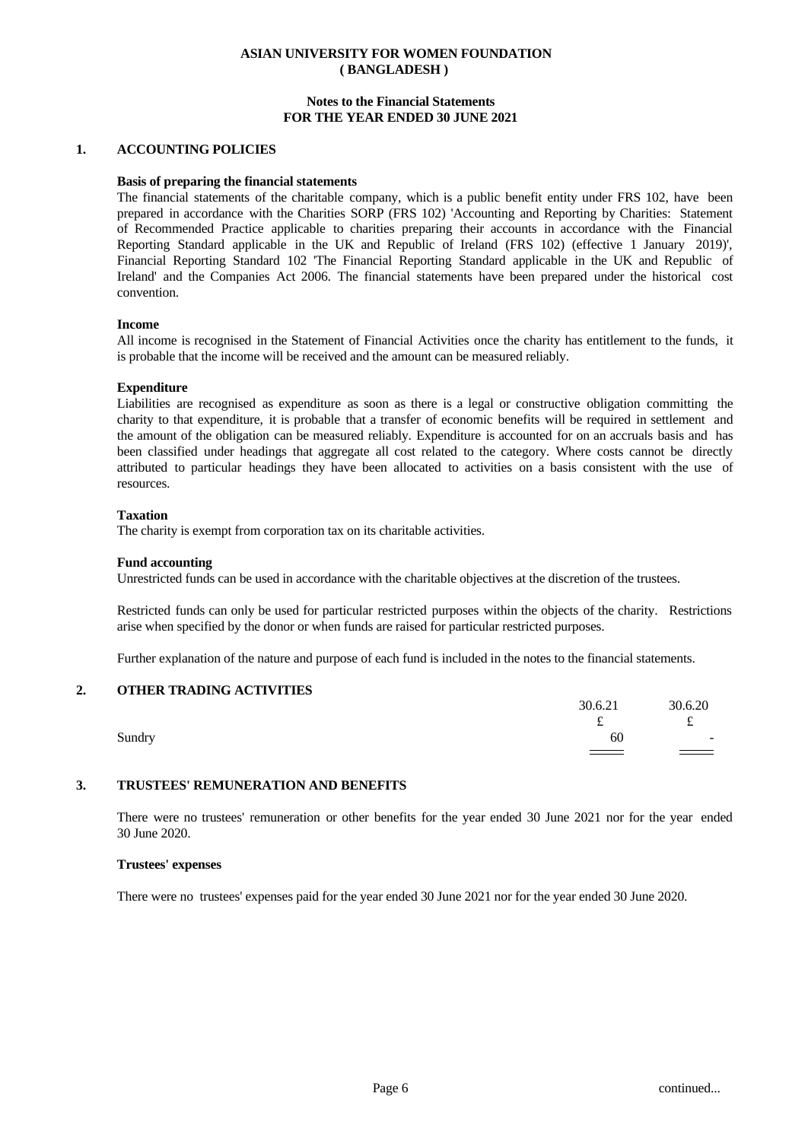#### **Notes to the Financial Statements FOR THE YEAR ENDED 30 JUNE 2021**

#### **1. ACCOUNTING POLICIES**

#### **Basis of preparing the financial statements**

The financial statements of the charitable company, which is a public benefit entity under FRS 102, have been prepared in accordance with the Charities SORP (FRS 102) 'Accounting and Reporting by Charities: Statement of Recommended Practice applicable to charities preparing their accounts in accordance with the Financial Reporting Standard applicable in the UK and Republic of Ireland (FRS 102) (effective 1 January 2019)', Financial Reporting Standard 102 'The Financial Reporting Standard applicable in the UK and Republic of Ireland' and the Companies Act 2006. The financial statements have been prepared under the historical cost convention.

#### **Income**

All income is recognised in the Statement of Financial Activities once the charity has entitlement to the funds, it is probable that the income will be received and the amount can be measured reliably.

#### **Expenditure**

Liabilities are recognised as expenditure as soon as there is a legal or constructive obligation committing the charity to that expenditure, it is probable that a transfer of economic benefits will be required in settlement and the amount of the obligation can be measured reliably. Expenditure is accounted for on an accruals basis and has been classified under headings that aggregate all cost related to the category. Where costs cannot be directly attributed to particular headings they have been allocated to activities on a basis consistent with the use of resources.

#### **Taxation**

The charity is exempt from corporation tax on its charitable activities.

#### **Fund accounting**

Unrestricted funds can be used in accordance with the charitable objectives at the discretion of the trustees.

Restricted funds can only be used for particular restricted purposes within the objects of the charity. Restrictions arise when specified by the donor or when funds are raised for particular restricted purposes.

Further explanation of the nature and purpose of each fund is included in the notes to the financial statements.

### **2. OTHER TRADING ACTIVITIES**

|        | 30.6.21 | 30.6.20                               |  |
|--------|---------|---------------------------------------|--|
|        | ىم      | $\sim$<br>÷<br>ىم                     |  |
| Sundry | 60      | $\sim$                                |  |
|        | ==      | $\qquad \qquad \qquad =\qquad \qquad$ |  |

# **3. TRUSTEES' REMUNERATION AND BENEFITS**

There were no trustees' remuneration or other benefits for the yearended 30 June 2021 nor for the year ended 30 June 2020.

#### **Trustees' expenses**

There were no trustees' expenses paid for the year ended 30 June 2021 nor for the year ended 30 June 2020.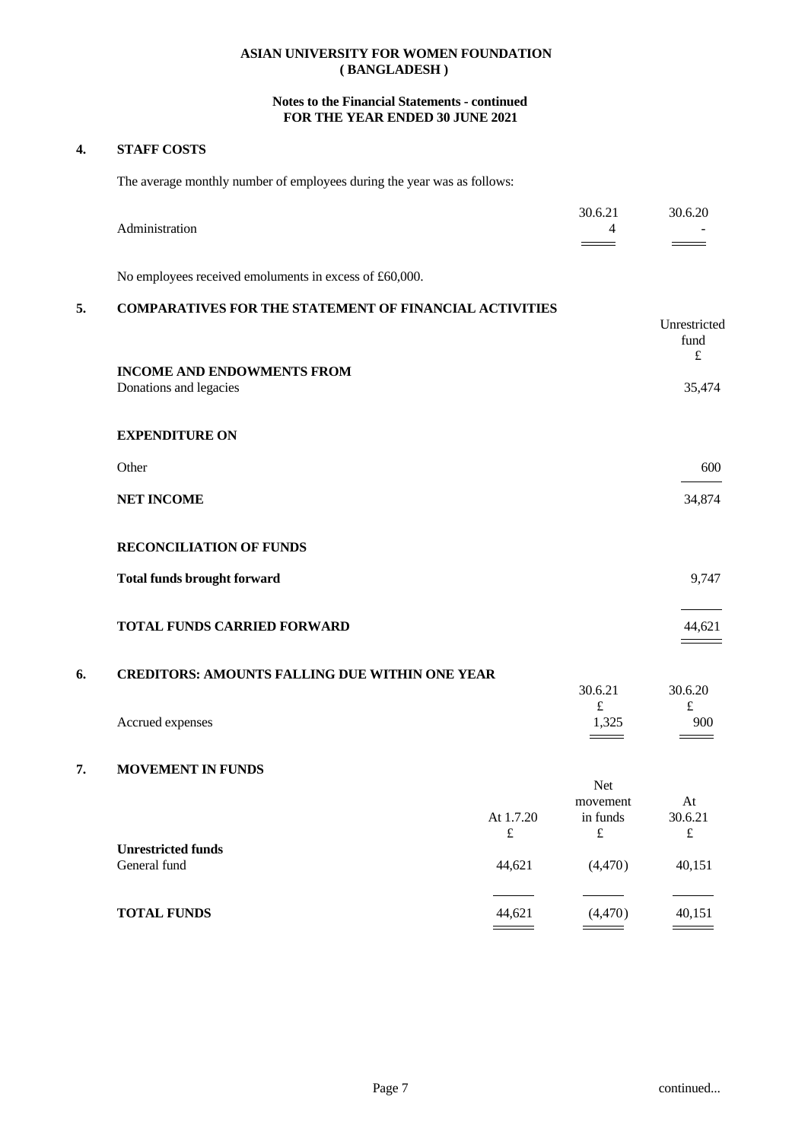## **Notes to the Financial Statements - continued FOR THE YEAR ENDED 30 JUNE 2021**

## **4. STAFF COSTS**

The average monthly number of employees during the year was as follows:

|    | Administration                                                |                        | 30.6.21<br>4                      | 30.6.20                    |
|----|---------------------------------------------------------------|------------------------|-----------------------------------|----------------------------|
|    |                                                               |                        |                                   |                            |
|    | No employees received emoluments in excess of £60,000.        |                        |                                   |                            |
| 5. | <b>COMPARATIVES FOR THE STATEMENT OF FINANCIAL ACTIVITIES</b> |                        |                                   | Unrestricted               |
|    |                                                               |                        |                                   | fund<br>$\pounds$          |
|    | <b>INCOME AND ENDOWMENTS FROM</b><br>Donations and legacies   |                        |                                   | 35,474                     |
|    | <b>EXPENDITURE ON</b>                                         |                        |                                   |                            |
|    | Other                                                         |                        |                                   | 600                        |
|    | <b>NET INCOME</b>                                             |                        |                                   | 34,874                     |
|    | <b>RECONCILIATION OF FUNDS</b>                                |                        |                                   |                            |
|    | <b>Total funds brought forward</b>                            |                        |                                   | 9,747                      |
|    |                                                               |                        |                                   |                            |
|    | TOTAL FUNDS CARRIED FORWARD                                   |                        |                                   | 44,621                     |
| 6. | <b>CREDITORS: AMOUNTS FALLING DUE WITHIN ONE YEAR</b>         |                        |                                   |                            |
|    |                                                               |                        | 30.6.21<br>$\pounds$              | 30.6.20<br>$\pounds$       |
|    | Accrued expenses                                              |                        | 1,325                             | 900                        |
| 7. | <b>MOVEMENT IN FUNDS</b>                                      |                        | Net                               |                            |
|    |                                                               | At 1.7.20<br>$\pounds$ | movement<br>in funds<br>$\pounds$ | At<br>30.6.21<br>$\pounds$ |
|    | <b>Unrestricted funds</b><br>General fund                     | 44,621                 | (4, 470)                          | 40,151                     |
|    | <b>TOTAL FUNDS</b>                                            | 44,621                 | (4,470)                           | 40,151                     |
|    |                                                               |                        |                                   |                            |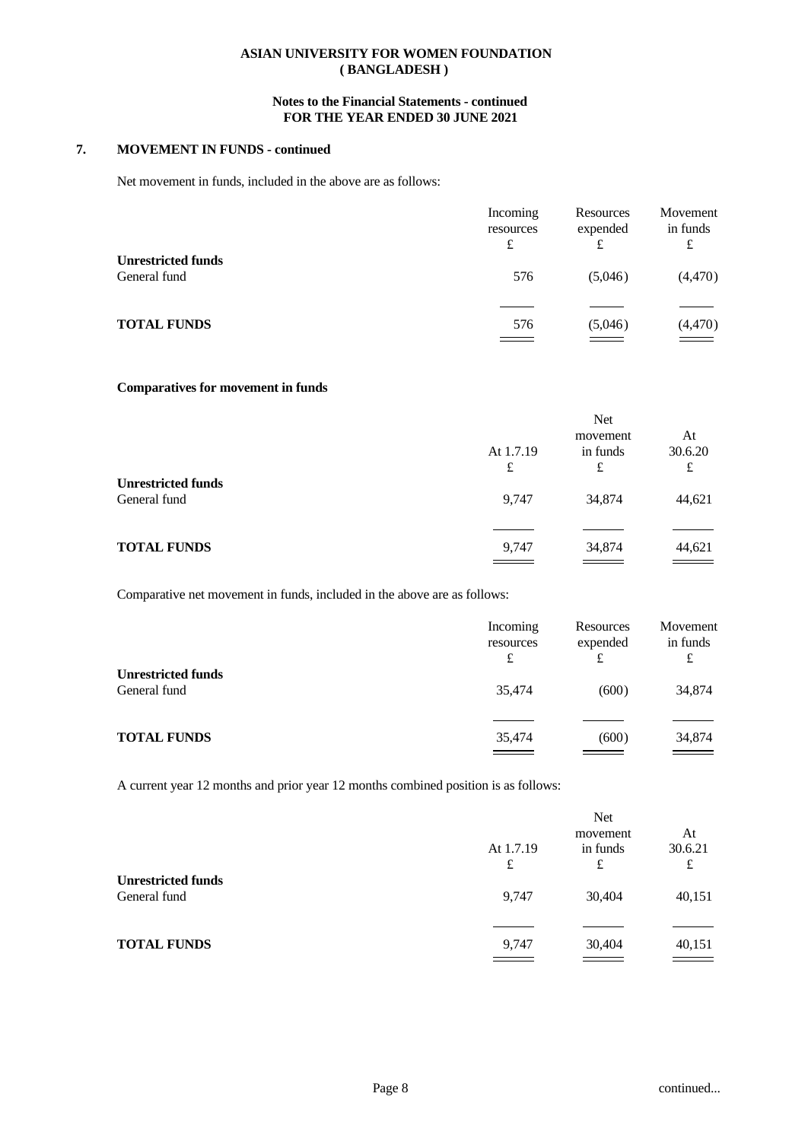### **Notes to the Financial Statements - continued FOR THE YEAR ENDED 30 JUNE 2021**

### **7. MOVEMENT IN FUNDS - continued**

Net movement in funds, included in the above are as follows:

|                                           | Incoming      | Resources     | Movement      |
|-------------------------------------------|---------------|---------------|---------------|
|                                           | resources     | expended      | in funds      |
|                                           | £             | £             | £             |
| <b>Unrestricted funds</b><br>General fund | 576           | (5,046)       | (4,470)       |
| <b>TOTAL FUNDS</b>                        | 576           | (5,046)       | (4,470)       |
|                                           | $\sim$ $\sim$ | $\sim$ $\sim$ | $\sim$ $\sim$ |

### **Comparatives for movement in funds**

|                                           |           | Net      |         |  |
|-------------------------------------------|-----------|----------|---------|--|
|                                           |           | movement | At      |  |
|                                           | At 1.7.19 | in funds | 30.6.20 |  |
|                                           | £         | £        | £       |  |
| <b>Unrestricted funds</b><br>General fund | 9,747     | 34,874   | 44,621  |  |
| <b>TOTAL FUNDS</b>                        | 9,747     | 34,874   | 44,621  |  |
|                                           |           |          |         |  |

Comparative net movement in funds, included in the above are as follows:

|                                           | Incoming<br>resources<br>£ | Resources<br>expended<br>£ | Movement<br>in funds<br>£ |  |
|-------------------------------------------|----------------------------|----------------------------|---------------------------|--|
| <b>Unrestricted funds</b><br>General fund | 35,474                     | (600)                      | 34,874                    |  |
| <b>TOTAL FUNDS</b>                        | 35,474                     | (600)                      | 34,874                    |  |

A current year 12 months and prior year 12 months combined position is as follows:

|                                           |           | <b>Net</b> |         |  |
|-------------------------------------------|-----------|------------|---------|--|
|                                           |           | movement   | At      |  |
|                                           | At 1.7.19 | in funds   | 30.6.21 |  |
|                                           | £         | £          | £       |  |
| <b>Unrestricted funds</b><br>General fund | 9,747     | 30,404     | 40,151  |  |
|                                           |           |            |         |  |
| <b>TOTAL FUNDS</b>                        | 9,747     | 30,404     | 40,151  |  |
|                                           |           |            |         |  |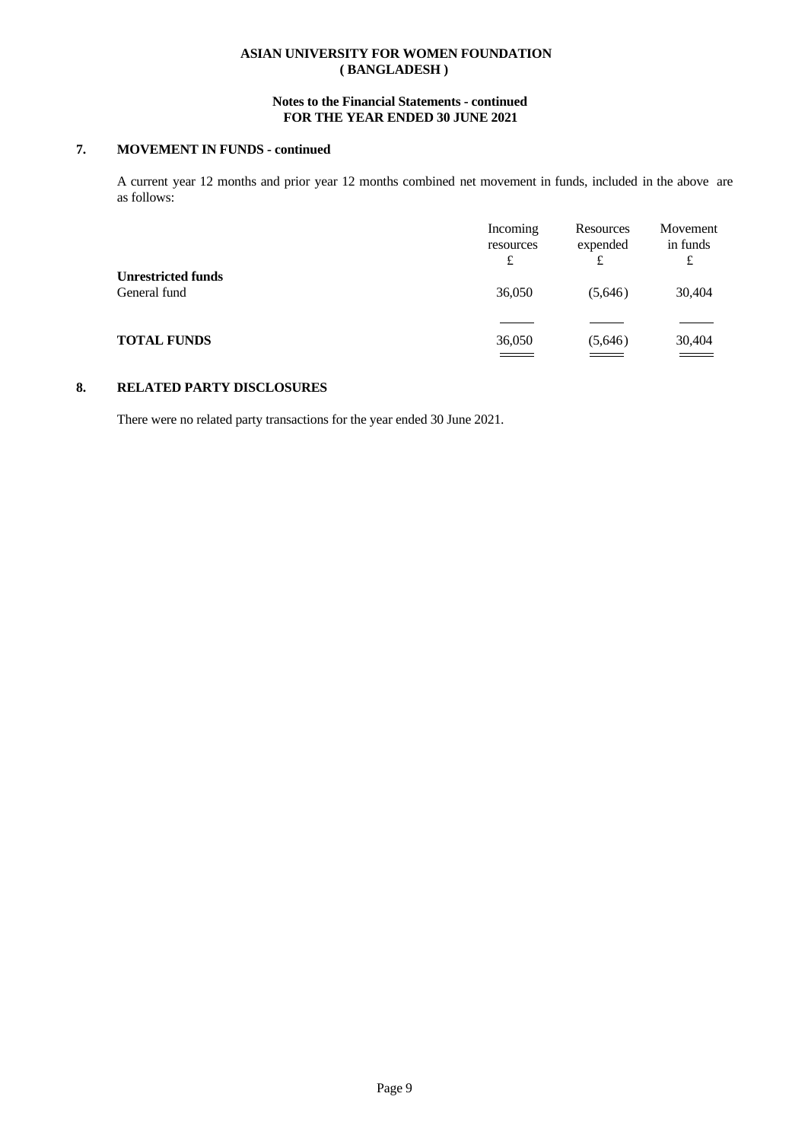## **Notes to the Financial Statements - continued FOR THE YEAR ENDED 30 JUNE 2021**

# **7. MOVEMENT IN FUNDS - continued**

A current year 12 months and prior year 12 months combined net movement in funds, included in the above are as follows:

|                                           | Incoming<br>resources<br>£ | Resources<br>expended<br>£ | Movement<br>in funds<br>£ |  |
|-------------------------------------------|----------------------------|----------------------------|---------------------------|--|
| <b>Unrestricted funds</b><br>General fund | 36,050                     | (5,646)                    | 30,404                    |  |
| <b>TOTAL FUNDS</b>                        | 36,050                     | (5,646)                    | 30,404                    |  |
|                                           |                            |                            |                           |  |

## **8. RELATED PARTY DISCLOSURES**

There were no related party transactions for the year ended 30 June 2021.